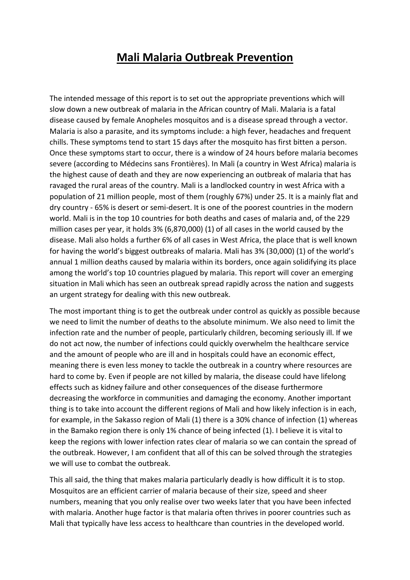## **Mali Malaria Outbreak Prevention**

The intended message of this report is to set out the appropriate preventions which will slow down a new outbreak of malaria in the African country of Mali. Malaria is a fatal disease caused by female Anopheles mosquitos and is a disease spread through a vector. Malaria is also a parasite, and its symptoms include: a high fever, headaches and frequent chills. These symptoms tend to start 15 days after the mosquito has first bitten a person. Once these symptoms start to occur, there is a window of 24 hours before malaria becomes severe (according to Médecins sans Frontières). In Mali (a country in West Africa) malaria is the highest cause of death and they are now experiencing an outbreak of malaria that has ravaged the rural areas of the country. Mali is a landlocked country in west Africa with a population of 21 million people, most of them (roughly 67%) under 25. It is a mainly flat and dry country - 65% is desert or semi-desert. It is one of the poorest countries in the modern world. Mali is in the top 10 countries for both deaths and cases of malaria and, of the 229 million cases per year, it holds 3% (6,870,000) (1) of all cases in the world caused by the disease. Mali also holds a further 6% of all cases in West Africa, the place that is well known for having the world's biggest outbreaks of malaria. Mali has 3% (30,000) (1) of the world's annual 1 million deaths caused by malaria within its borders, once again solidifying its place among the world's top 10 countries plagued by malaria. This report will cover an emerging situation in Mali which has seen an outbreak spread rapidly across the nation and suggests an urgent strategy for dealing with this new outbreak.

The most important thing is to get the outbreak under control as quickly as possible because we need to limit the number of deaths to the absolute minimum. We also need to limit the infection rate and the number of people, particularly children, becoming seriously ill. If we do not act now, the number of infections could quickly overwhelm the healthcare service and the amount of people who are ill and in hospitals could have an economic effect, meaning there is even less money to tackle the outbreak in a country where resources are hard to come by. Even if people are not killed by malaria, the disease could have lifelong effects such as kidney failure and other consequences of the disease furthermore decreasing the workforce in communities and damaging the economy. Another important thing is to take into account the different regions of Mali and how likely infection is in each, for example, in the Sakasso region of Mali (1) there is a 30% chance of infection (1) whereas in the Bamako region there is only 1% chance of being infected (1). I believe it is vital to keep the regions with lower infection rates clear of malaria so we can contain the spread of the outbreak. However, I am confident that all of this can be solved through the strategies we will use to combat the outbreak.

This all said, the thing that makes malaria particularly deadly is how difficult it is to stop. Mosquitos are an efficient carrier of malaria because of their size, speed and sheer numbers, meaning that you only realise over two weeks later that you have been infected with malaria. Another huge factor is that malaria often thrives in poorer countries such as Mali that typically have less access to healthcare than countries in the developed world.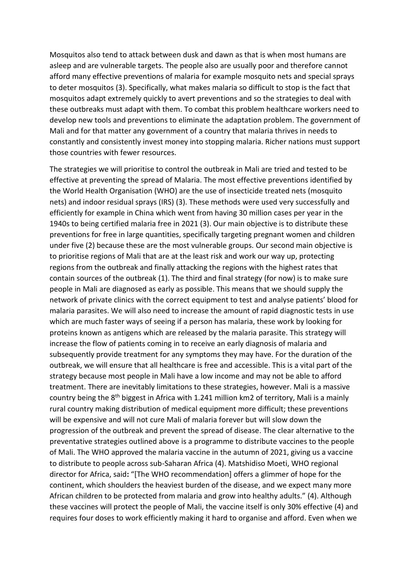Mosquitos also tend to attack between dusk and dawn as that is when most humans are asleep and are vulnerable targets. The people also are usually poor and therefore cannot afford many effective preventions of malaria for example mosquito nets and special sprays to deter mosquitos (3). Specifically, what makes malaria so difficult to stop is the fact that mosquitos adapt extremely quickly to avert preventions and so the strategies to deal with these outbreaks must adapt with them. To combat this problem healthcare workers need to develop new tools and preventions to eliminate the adaptation problem. The government of Mali and for that matter any government of a country that malaria thrives in needs to constantly and consistently invest money into stopping malaria. Richer nations must support those countries with fewer resources.

The strategies we will prioritise to control the outbreak in Mali are tried and tested to be effective at preventing the spread of Malaria. The most effective preventions identified by the World Health Organisation (WHO) are the use of insecticide treated nets (mosquito nets) and indoor residual sprays (IRS) (3). These methods were used very successfully and efficiently for example in China which went from having 30 million cases per year in the 1940s to being certified malaria free in 2021 (3). Our main objective is to distribute these preventions for free in large quantities, specifically targeting pregnant women and children under five (2) because these are the most vulnerable groups. Our second main objective is to prioritise regions of Mali that are at the least risk and work our way up, protecting regions from the outbreak and finally attacking the regions with the highest rates that contain sources of the outbreak (1). The third and final strategy (for now) is to make sure people in Mali are diagnosed as early as possible. This means that we should supply the network of private clinics with the correct equipment to test and analyse patients' blood for malaria parasites. We will also need to increase the amount of rapid diagnostic tests in use which are much faster ways of seeing if a person has malaria, these work by looking for proteins known as antigens which are released by the malaria parasite. This strategy will increase the flow of patients coming in to receive an early diagnosis of malaria and subsequently provide treatment for any symptoms they may have. For the duration of the outbreak, we will ensure that all healthcare is free and accessible. This is a vital part of the strategy because most people in Mali have a low income and may not be able to afford treatment. There are inevitably limitations to these strategies, however. Mali is a massive country being the 8<sup>th</sup> biggest in Africa with 1.241 million km2 of territory, Mali is a mainly rural country making distribution of medical equipment more difficult; these preventions will be expensive and will not cure Mali of malaria forever but will slow down the progression of the outbreak and prevent the spread of disease. The clear alternative to the preventative strategies outlined above is a programme to distribute vaccines to the people of Mali. The WHO approved the malaria vaccine in the autumn of 2021, giving us a vaccine to distribute to people across sub-Saharan Africa (4). Matshidiso Moeti, WHO regional director for Africa, said**:** "[The WHO recommendation] offers a glimmer of hope for the continent, which shoulders the heaviest burden of the disease, and we expect many more African children to be protected from malaria and grow into healthy adults." (4). Although these vaccines will protect the people of Mali, the vaccine itself is only 30% effective (4) and requires four doses to work efficiently making it hard to organise and afford. Even when we